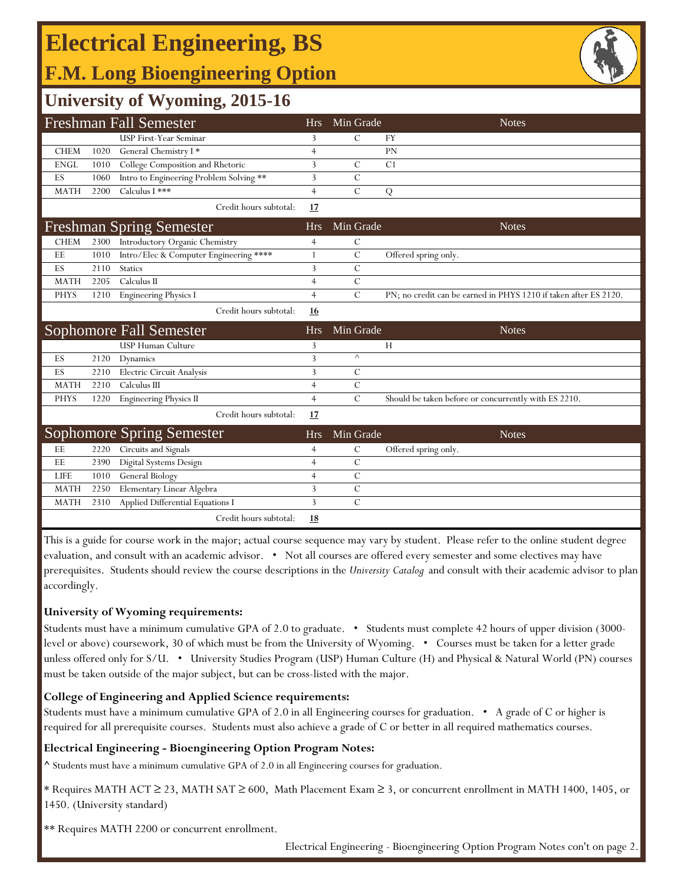### **E l F.M. Long Bioengineering Option Electrical Engineering, BS**



## **University of Wyoming, 2015-16**

|             |      | <b>Freshman Fall Semester</b>           | <b>Hrs</b>     | Min Grade      | <b>Notes</b>                                                     |
|-------------|------|-----------------------------------------|----------------|----------------|------------------------------------------------------------------|
|             |      | <b>USP First-Year Seminar</b>           | 3              | $\mathcal{C}$  | <b>FY</b>                                                        |
| <b>CHEM</b> | 1020 | General Chemistry I*                    | 4              |                | PN                                                               |
| <b>ENGL</b> | 1010 | College Composition and Rhetoric        | 3              | C              | C <sub>1</sub>                                                   |
| ES          | 1060 | Intro to Engineering Problem Solving ** | 3              | $\mathcal{C}$  |                                                                  |
| <b>MATH</b> | 2200 | Calculus I ***                          | $\overline{4}$ | $\mathcal{C}$  | Q                                                                |
|             |      | Credit hours subtotal:                  | <u>17</u>      |                |                                                                  |
|             |      | <b>Freshman Spring Semester</b>         | <b>Hrs</b>     | Min Grade      | <b>Notes</b>                                                     |
| <b>CHEM</b> | 2300 | Introductory Organic Chemistry          | 4              | $\mathcal{C}$  |                                                                  |
| EE          | 1010 | Intro/Elec & Computer Engineering ****  | 1              | $\overline{C}$ | Offered spring only.                                             |
| ES          | 2110 | <b>Statics</b>                          | 3              | $\mathcal{C}$  |                                                                  |
| <b>MATH</b> | 2205 | Calculus II                             | $\overline{4}$ | $\overline{C}$ |                                                                  |
| <b>PHYS</b> | 1210 | <b>Engineering Physics I</b>            | $\overline{4}$ | C              | PN; no credit can be earned in PHYS 1210 if taken after ES 2120. |
|             |      | Credit hours subtotal:                  | 16             |                |                                                                  |
|             |      | Sophomore Fall Semester                 | <b>Hrs</b>     | Min Grade      | <b>Notes</b>                                                     |
|             |      | USP Human Culture                       | 3              |                | H                                                                |
| ES          | 2120 | Dynamics                                | 3              | $\wedge$       |                                                                  |
| ES          | 2210 | Electric Circuit Analysis               | 3              | С              |                                                                  |
| <b>MATH</b> | 2210 | Calculus III                            | 4              | $\mathcal{C}$  |                                                                  |
| <b>PHYS</b> | 1220 | <b>Engineering Physics II</b>           | $\overline{4}$ | $\mathcal{C}$  | Should be taken before or concurrently with ES 2210.             |
|             |      | Credit hours subtotal:                  | 17             |                |                                                                  |
|             |      | <b>Sophomore Spring Semester</b>        | <b>Hrs</b>     | Min Grade      | <b>Notes</b>                                                     |
| EE          | 2220 | Circuits and Signals                    | 4              | C              | Offered spring only.                                             |
| EE          | 2390 | Digital Systems Design                  | 4              | $\mathcal{C}$  |                                                                  |
| <b>LIFE</b> | 1010 | General Biology                         | $\overline{4}$ | $\mathcal{C}$  |                                                                  |
| <b>MATH</b> | 2250 | Elementary Linear Algebra               | 3              | $\mathcal{C}$  |                                                                  |
|             |      |                                         |                |                |                                                                  |
| <b>MATH</b> | 2310 | Applied Differential Equations I        | 3              | $\overline{C}$ |                                                                  |

This is a guide for course work in the major; actual course sequence may vary by student. Please refer to the online student degree evaluation, and consult with an academic advisor. • Not all courses are offered every semester and some electives may have prerequisites. Students should review the course descriptions in the *University Catalog* and consult with their academic advisor to plan accordingly.

#### **University of Wyoming requirements:**

Students must have a minimum cumulative GPA of 2.0 to graduate. • Students must complete 42 hours of upper division (3000 level or above) coursework, 30 of which must be from the University of Wyoming. • Courses must be taken for a letter grade unless offered only for S/U. • University Studies Program (USP) Human Culture (H) and Physical & Natural World (PN) courses must be taken outside of the major subject, but can be cross-listed with the major.

#### **College of Engineering and Applied Science requirements:**

Students must have a minimum cumulative GPA of 2.0 in all Engineering courses for graduation. • A grade of C or higher is required for all prerequisite courses. Students must also achieve a grade of C or better in all required mathematics courses.

#### **Electrical Engineering - Bioengineering Option Program Notes:**

**^** Students must have a minimum cumulative GPA of 2.0 in all Engineering courses for graduation.

\* Requires MATH ACT ≥ 23, MATH SAT ≥ 600, Math Placement Exam ≥ 3, or concurrent enrollment in MATH 1400, 1405, or 1450. (University standard)

\*\* Requires MATH 2200 or concurrent enrollment.

Electrical Engineering - Bioengineering Option Program Notes con't on page 2.